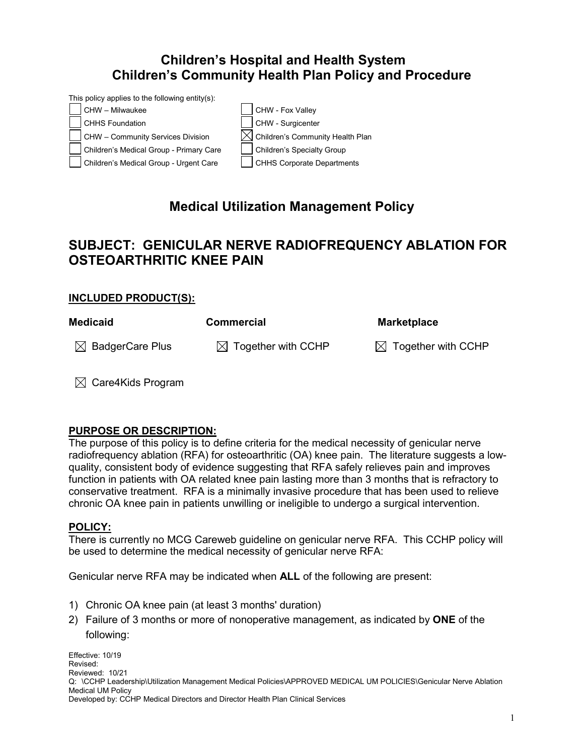## **Children's Hospital and Health System Children's Community Health Plan Policy and Procedure**

This policy applies to the following entity(s):



# **Medical Utilization Management Policy**

## **SUBJECT: GENICULAR NERVE RADIOFREQUENCY ABLATION FOR OSTEOARTHRITIC KNEE PAIN**

#### **INCLUDED PRODUCT(S):**

| <b>Medicaid</b>             | <b>Commercial</b>              | <b>Marketplace</b>             |
|-----------------------------|--------------------------------|--------------------------------|
| $\boxtimes$ BadgerCare Plus | $\boxtimes$ Together with CCHP | $\boxtimes$ Together with CCHP |

 $\boxtimes$  Care4Kids Program

#### **PURPOSE OR DESCRIPTION:**

The purpose of this policy is to define criteria for the medical necessity of genicular nerve radiofrequency ablation (RFA) for osteoarthritic (OA) knee pain. The literature suggests a lowquality, consistent body of evidence suggesting that RFA safely relieves pain and improves function in patients with OA related knee pain lasting more than 3 months that is refractory to conservative treatment. RFA is a minimally invasive procedure that has been used to relieve chronic OA knee pain in patients unwilling or ineligible to undergo a surgical intervention.

#### **POLICY:**

There is currently no MCG Careweb guideline on genicular nerve RFA. This CCHP policy will be used to determine the medical necessity of genicular nerve RFA:

Genicular nerve RFA may be indicated when **ALL** of the following are present:

- 1) Chronic OA knee pain (at least 3 months' duration)
- 2) Failure of 3 months or more of nonoperative management, as indicated by **ONE** of the following: